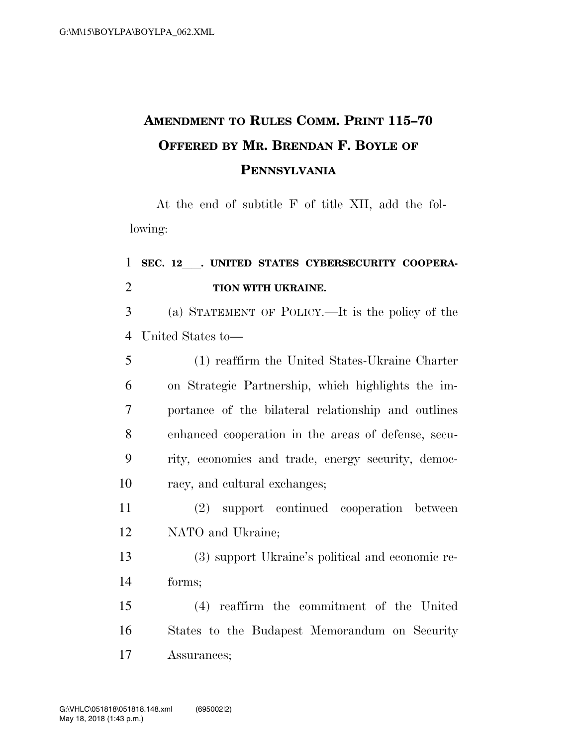## **AMENDMENT TO RULES COMM. PRINT 115–70 OFFERED BY MR. BRENDAN F. BOYLE OF PENNSYLVANIA**

At the end of subtitle F of title XII, add the following:

## 1 SEC. 12 . UNITED STATES CYBERSECURITY COOPERA-**TION WITH UKRAINE.**

 (a) STATEMENT OF POLICY.—It is the policy of the United States to—

|    | (1) reaffirm the United States-Ukraine Charter      |
|----|-----------------------------------------------------|
| 6  | on Strategic Partnership, which highlights the im-  |
| 7  | portance of the bilateral relationship and outlines |
| 8  | enhanced cooperation in the areas of defense, secu- |
| 9  | rity, economics and trade, energy security, democ-  |
| 10 | racy, and cultural exchanges;                       |

 (2) support continued cooperation between NATO and Ukraine;

 (3) support Ukraine's political and economic re-forms;

 (4) reaffirm the commitment of the United States to the Budapest Memorandum on Security Assurances;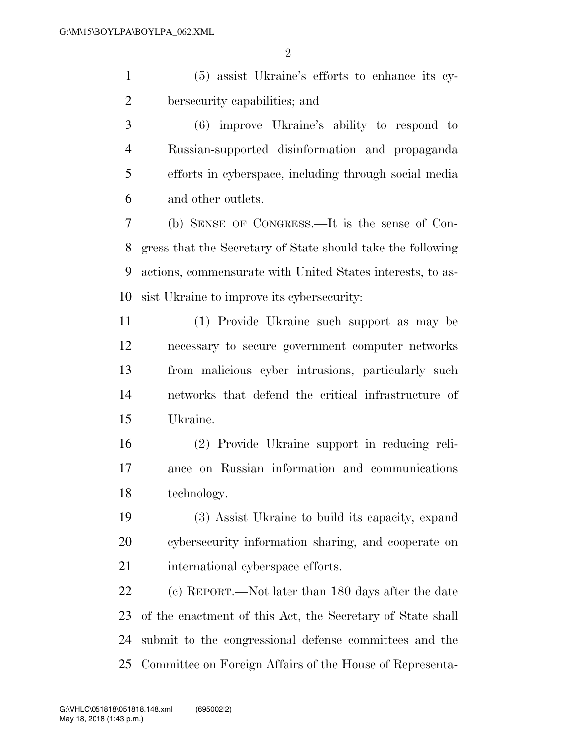(5) assist Ukraine's efforts to enhance its cy-bersecurity capabilities; and

 (6) improve Ukraine's ability to respond to Russian-supported disinformation and propaganda efforts in cyberspace, including through social media and other outlets.

 (b) SENSE OF CONGRESS.—It is the sense of Con- gress that the Secretary of State should take the following actions, commensurate with United States interests, to as-sist Ukraine to improve its cybersecurity:

 (1) Provide Ukraine such support as may be necessary to secure government computer networks from malicious cyber intrusions, particularly such networks that defend the critical infrastructure of Ukraine.

 (2) Provide Ukraine support in reducing reli- ance on Russian information and communications technology.

 (3) Assist Ukraine to build its capacity, expand cybersecurity information sharing, and cooperate on 21 international cyberspace efforts.

 (c) REPORT.—Not later than 180 days after the date of the enactment of this Act, the Secretary of State shall submit to the congressional defense committees and the Committee on Foreign Affairs of the House of Representa